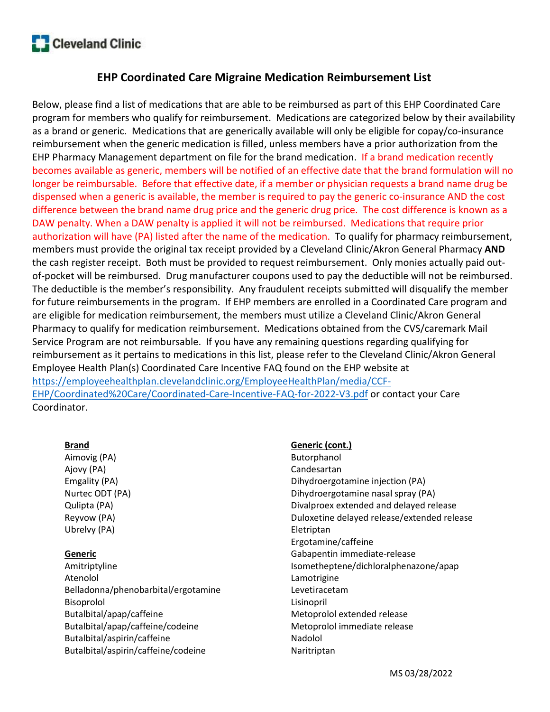

# EHP Coordinated Care Migraine Medication Reimbursement List

Below, please find a list of medications that are able to be reimbursed as part of this EHP Coordinated Care program for members who qualify for reimbursement. Medications are categorized below by their availability as a brand or generic. Medications that are generically available will only be eligible for copay/co-insurance reimbursement when the generic medication is filled, unless members have a prior authorization from the EHP Pharmacy Management department on file for the brand medication. If a brand medication recently becomes available as generic, members will be notified of an effective date that the brand formulation will no longer be reimbursable. Before that effective date, if a member or physician requests a brand name drug be dispensed when a generic is available, the member is required to pay the generic co-insurance AND the cost difference between the brand name drug price and the generic drug price. The cost difference is known as a DAW penalty. When a DAW penalty is applied it will not be reimbursed. Medications that require prior authorization will have (PA) listed after the name of the medication. To qualify for pharmacy reimbursement, members must provide the original tax receipt provided by a Cleveland Clinic/Akron General Pharmacy **AND** the cash register receipt. Both must be provided to request reimbursement. Only monies actually paid outof-pocket will be reimbursed. Drug manufacturer coupons used to pay the deductible will not be reimbursed. The deductible is the member's responsibility. Any fraudulent receipts submitted will disqualify the member for future reimbursements in the program. If EHP members are enrolled in a Coordinated Care program and are eligible for medication reimbursement, the members must utilize a Cleveland Clinic/Akron General Pharmacy to qualify for medication reimbursement. Medications obtained from the CVS/caremark Mail Service Program are not reimbursable. If you have any remaining questions regarding qualifying for reimbursement as it pertains to medications in this list, please refer to the Cleveland Clinic/Akron General Employee Health Plan(s) Coordinated Care Incentive FAQ found on the EHP website at https://employeehealthplan.clevelandclinic.org/EmployeeHealthPlan/media/CCF-EHP/Coordinated%20Care/Coordinated-Care-Incentive-FAQ-for-2022-V3.pdf or contact your Care Coordinator.

### Brand

Aimovig (PA) Ajovy (PA) Emgality (PA) Nurtec ODT (PA) Qulipta (PA) Reyvow (PA) Ubrelvy (PA)

## Generic

Amitriptyline Atenolol Belladonna/phenobarbital/ergotamine Bisoprolol Butalbital/apap/caffeine Butalbital/apap/caffeine/codeine Butalbital/aspirin/caffeine Butalbital/aspirin/caffeine/codeine

### Generic (cont.)

Butorphanol Candesartan Dihydroergotamine injection (PA) Dihydroergotamine nasal spray (PA) Divalproex extended and delayed release Duloxetine delayed release/extended release Eletriptan Ergotamine/caffeine Gabapentin immediate-release Isometheptene/dichloralphenazone/apap Lamotrigine Levetiracetam Lisinopril Metoprolol extended release Metoprolol immediate release Nadolol Naritriptan